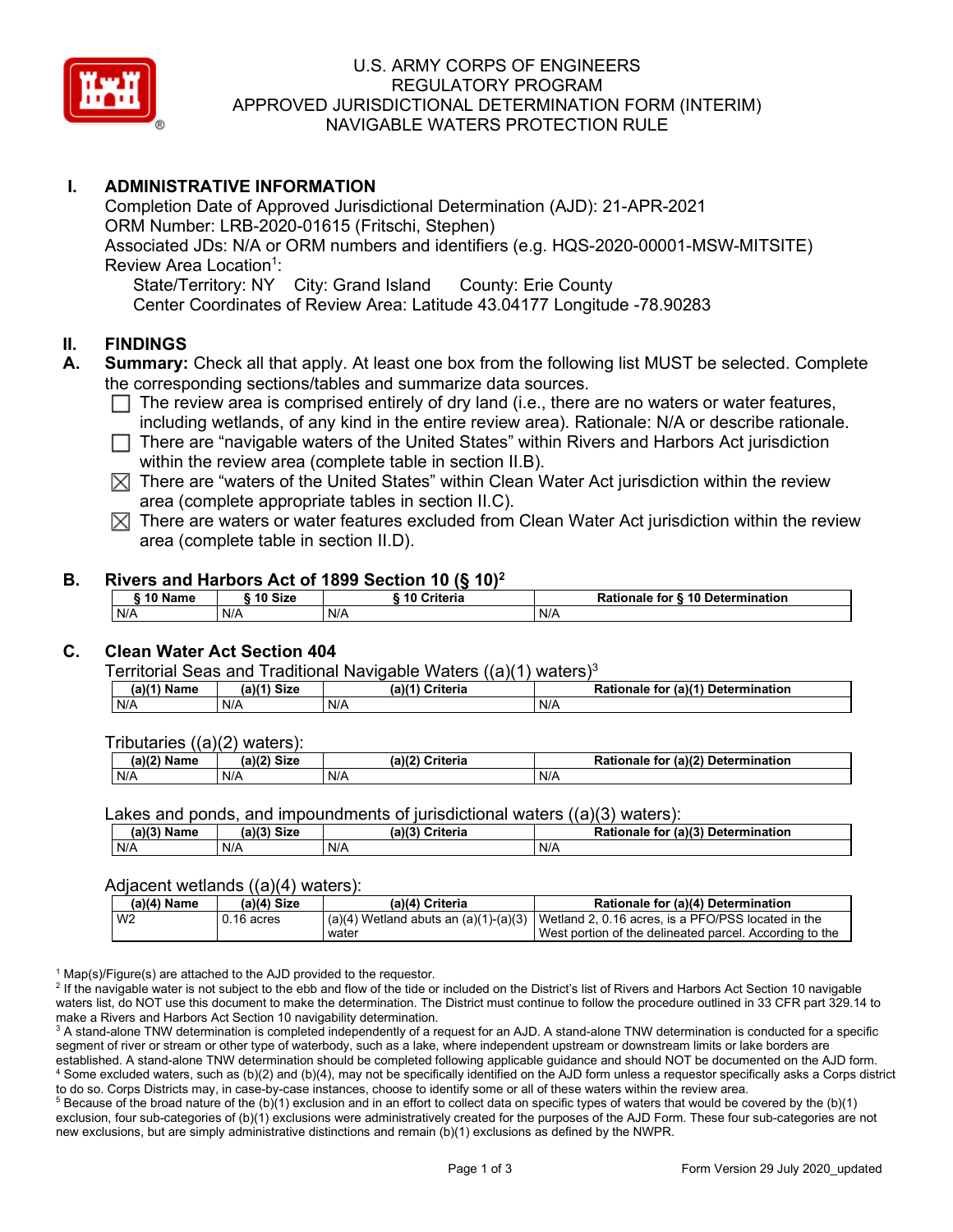

## U.S. ARMY CORPS OF ENGINEERS REGULATORY PROGRAM APPROVED JURISDICTIONAL DETERMINATION FORM (INTERIM) NAVIGABLE WATERS PROTECTION RULE

# **I. ADMINISTRATIVE INFORMATION**

Completion Date of Approved Jurisdictional Determination (AJD): 21-APR-2021 ORM Number: LRB-2020-01615 (Fritschi, Stephen) Associated JDs: N/A or ORM numbers and identifiers (e.g. HQS-2020-00001-MSW-MITSITE) Review Area Location<sup>1</sup>: State/Territory: NY City: Grand Island County: Erie County

Center Coordinates of Review Area: Latitude 43.04177 Longitude -78.90283

## **II. FINDINGS**

- **A. Summary:** Check all that apply. At least one box from the following list MUST be selected. Complete the corresponding sections/tables and summarize data sources.
	- $\Box$  The review area is comprised entirely of dry land (i.e., there are no waters or water features, including wetlands, of any kind in the entire review area). Rationale: N/A or describe rationale.
	- $\Box$  There are "navigable waters of the United States" within Rivers and Harbors Act jurisdiction within the review area (complete table in section II.B).
	- $\boxtimes$  There are "waters of the United States" within Clean Water Act jurisdiction within the review area (complete appropriate tables in section II.C).
	- $\boxtimes$  There are waters or water features excluded from Clean Water Act jurisdiction within the review area (complete table in section II.D).

### **B. Rivers and Harbors Act of 1899 Section 10 (§ 10)2**

|         | $1.01$ and the compact of the contract of $\{3, 10\}$ |               |                                  |
|---------|-------------------------------------------------------|---------------|----------------------------------|
| 10 Name | 10 Size                                               | i 10 Criteria | Rationale for § 10 Determination |
| N/A     | N/A                                                   | N/A           | N/A                              |

# **C. Clean Water Act Section 404**

Territorial Seas and Traditional Navigable Waters  $((a)(1)$  waters)<sup>3</sup>

| $(a)(1)$ M<br>Name | $(a)$ $(1)$<br>Size | <b>Criteria</b><br>$(a)$ $(4)$ | (a)(1) Determ<br>Rationale<br>mination <sup>.</sup><br>for |
|--------------------|---------------------|--------------------------------|------------------------------------------------------------|
| N/A                | N/A                 | N/A                            | N/A                                                        |

Tributaries ((a)(2) waters):

| いつ<br>Name | (a)<br>$\sim$ Ciev<br>oizu | (a)(7)<br>:riteria | $-1210$<br>Determ<br>mination<br>TOI<br>naie |
|------------|----------------------------|--------------------|----------------------------------------------|
| N/A        | N/A                        | N/A                | N/A                                          |

Lakes and ponds, and impoundments of jurisdictional waters  $((a)(3)$  waters):

| (a)(3) Name | <b>Size</b><br>$\sim$ 1/2' | (a)(3) | Urileria | <b>Rationale</b> i.<br>for | $($ a)(3 $)$<br>Determination |
|-------------|----------------------------|--------|----------|----------------------------|-------------------------------|
| N/A         | N/A                        | N/A    |          | N/A                        |                               |

#### Adjacent wetlands ((a)(4) waters):

| (a)(4) Name    | (a)(4) Size | (a)(4) Criteria | Rationale for (a)(4) Determination                                                           |
|----------------|-------------|-----------------|----------------------------------------------------------------------------------------------|
| W <sub>2</sub> | J.16 acres  |                 | $(a)(4)$ Wetland abuts an $(a)(1)-(a)(3)$ Wetland 2, 0.16 acres, is a PFO/PSS located in the |
|                |             | water           | I West portion of the delineated parcel. According to the                                    |

 $1$  Map(s)/Figure(s) are attached to the AJD provided to the requestor.

<sup>2</sup> If the navigable water is not subject to the ebb and flow of the tide or included on the District's list of Rivers and Harbors Act Section 10 navigable waters list, do NOT use this document to make the determination. The District must continue to follow the procedure outlined in 33 CFR part 329.14 to make a Rivers and Harbors Act Section 10 navigability determination.

<sup>3</sup> A stand-alone TNW determination is completed independently of a request for an AJD. A stand-alone TNW determination is conducted for a specific segment of river or stream or other type of waterbody, such as a lake, where independent upstream or downstream limits or lake borders are established. A stand-alone TNW determination should be completed following applicable guidance and should NOT be documented on the AJD form. <sup>4</sup> Some excluded waters, such as (b)(2) and (b)(4), may not be specifically identified on the AJD form unless a requestor specifically asks a Corps district to do so. Corps Districts may, in case-by-case instances, choose to identify some or all of these waters within the review area.

 $5$  Because of the broad nature of the (b)(1) exclusion and in an effort to collect data on specific types of waters that would be covered by the (b)(1) exclusion, four sub-categories of (b)(1) exclusions were administratively created for the purposes of the AJD Form. These four sub-categories are not new exclusions, but are simply administrative distinctions and remain (b)(1) exclusions as defined by the NWPR.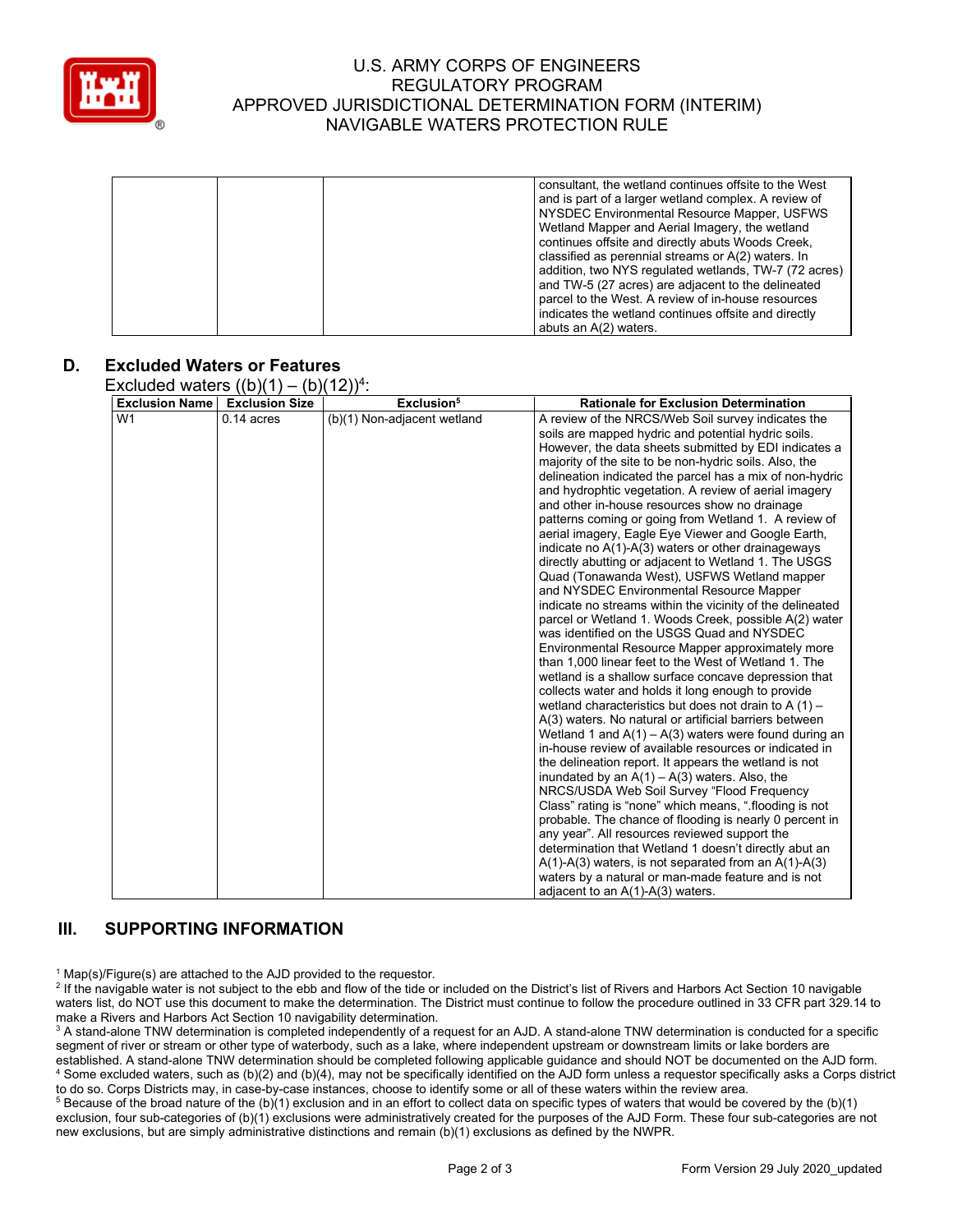

## U.S. ARMY CORPS OF ENGINEERS REGULATORY PROGRAM APPROVED JURISDICTIONAL DETERMINATION FORM (INTERIM) NAVIGABLE WATERS PROTECTION RULE

|  | consultant, the wetland continues offsite to the West<br>and is part of a larger wetland complex. A review of<br>NYSDEC Environmental Resource Mapper, USFWS<br>Wetland Mapper and Aerial Imagery, the wetland<br>continues offsite and directly abuts Woods Creek,<br>classified as perennial streams or A(2) waters. In |
|--|---------------------------------------------------------------------------------------------------------------------------------------------------------------------------------------------------------------------------------------------------------------------------------------------------------------------------|
|  | addition, two NYS regulated wetlands, TW-7 (72 acres)<br>and TW-5 (27 acres) are adjacent to the delineated<br>parcel to the West. A review of in-house resources<br>indicates the wetland continues offsite and directly                                                                                                 |
|  | abuts an A(2) waters.                                                                                                                                                                                                                                                                                                     |

### **D. Excluded Waters or Features**

Excluded waters  $((b)(1) - (b)(12))^4$ :

| <b>Exclusion Name</b> | <b>Exclusion Size</b> | Exclusion <sup>5</sup>      | <b>Rationale for Exclusion Determination</b>                                                                 |
|-----------------------|-----------------------|-----------------------------|--------------------------------------------------------------------------------------------------------------|
| W <sub>1</sub>        | $0.14$ acres          | (b)(1) Non-adjacent wetland | A review of the NRCS/Web Soil survey indicates the                                                           |
|                       |                       |                             | soils are mapped hydric and potential hydric soils.                                                          |
|                       |                       |                             | However, the data sheets submitted by EDI indicates a                                                        |
|                       |                       |                             | majority of the site to be non-hydric soils. Also, the                                                       |
|                       |                       |                             | delineation indicated the parcel has a mix of non-hydric                                                     |
|                       |                       |                             | and hydrophtic vegetation. A review of aerial imagery                                                        |
|                       |                       |                             | and other in-house resources show no drainage                                                                |
|                       |                       |                             | patterns coming or going from Wetland 1. A review of                                                         |
|                       |                       |                             | aerial imagery, Eagle Eye Viewer and Google Earth,                                                           |
|                       |                       |                             | indicate no A(1)-A(3) waters or other drainageways                                                           |
|                       |                       |                             | directly abutting or adjacent to Wetland 1. The USGS                                                         |
|                       |                       |                             | Quad (Tonawanda West), USFWS Wetland mapper                                                                  |
|                       |                       |                             | and NYSDEC Environmental Resource Mapper                                                                     |
|                       |                       |                             | indicate no streams within the vicinity of the delineated                                                    |
|                       |                       |                             | parcel or Wetland 1. Woods Creek, possible A(2) water                                                        |
|                       |                       |                             | was identified on the USGS Quad and NYSDEC                                                                   |
|                       |                       |                             | Environmental Resource Mapper approximately more                                                             |
|                       |                       |                             | than 1,000 linear feet to the West of Wetland 1. The<br>wetland is a shallow surface concave depression that |
|                       |                       |                             | collects water and holds it long enough to provide                                                           |
|                       |                       |                             | wetland characteristics but does not drain to A $(1)$ –                                                      |
|                       |                       |                             | A(3) waters. No natural or artificial barriers between                                                       |
|                       |                       |                             | Wetland 1 and $A(1) - A(3)$ waters were found during an                                                      |
|                       |                       |                             | in-house review of available resources or indicated in                                                       |
|                       |                       |                             | the delineation report. It appears the wetland is not                                                        |
|                       |                       |                             | inundated by an $A(1) - A(3)$ waters. Also, the                                                              |
|                       |                       |                             | NRCS/USDA Web Soil Survey "Flood Frequency                                                                   |
|                       |                       |                             | Class" rating is "none" which means, ".flooding is not                                                       |
|                       |                       |                             | probable. The chance of flooding is nearly 0 percent in                                                      |
|                       |                       |                             | any year". All resources reviewed support the                                                                |
|                       |                       |                             | determination that Wetland 1 doesn't directly abut an                                                        |
|                       |                       |                             | $A(1)$ -A(3) waters, is not separated from an A(1)-A(3)                                                      |
|                       |                       |                             | waters by a natural or man-made feature and is not                                                           |
|                       |                       |                             | adjacent to an A(1)-A(3) waters.                                                                             |

### **III. SUPPORTING INFORMATION**

 $1$  Map(s)/Figure(s) are attached to the AJD provided to the requestor.

<sup>2</sup> If the navigable water is not subject to the ebb and flow of the tide or included on the District's list of Rivers and Harbors Act Section 10 navigable waters list, do NOT use this document to make the determination. The District must continue to follow the procedure outlined in 33 CFR part 329.14 to make a Rivers and Harbors Act Section 10 navigability determination.

<sup>3</sup> A stand-alone TNW determination is completed independently of a request for an AJD. A stand-alone TNW determination is conducted for a specific segment of river or stream or other type of waterbody, such as a lake, where independent upstream or downstream limits or lake borders are established. A stand-alone TNW determination should be completed following applicable guidance and should NOT be documented on the AJD form. <sup>4</sup> Some excluded waters, such as (b)(2) and (b)(4), may not be specifically identified on the AJD form unless a requestor specifically asks a Corps district to do so. Corps Districts may, in case-by-case instances, choose to identify some or all of these waters within the review area.

<sup>5</sup> Because of the broad nature of the (b)(1) exclusion and in an effort to collect data on specific types of waters that would be covered by the (b)(1) exclusion, four sub-categories of (b)(1) exclusions were administratively created for the purposes of the AJD Form. These four sub-categories are not new exclusions, but are simply administrative distinctions and remain (b)(1) exclusions as defined by the NWPR.